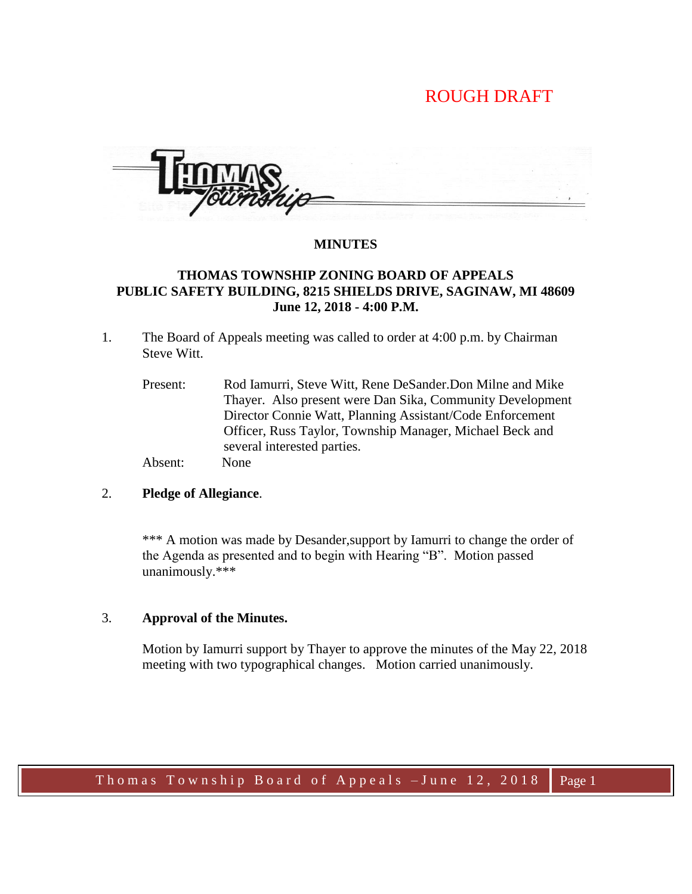# ROUGH DRAFT

### **MINUTES**

# **THOMAS TOWNSHIP ZONING BOARD OF APPEALS PUBLIC SAFETY BUILDING, 8215 SHIELDS DRIVE, SAGINAW, MI 48609 June 12, 2018 - 4:00 P.M.**

- 1. The Board of Appeals meeting was called to order at 4:00 p.m. by Chairman Steve Witt.
	- Present: Rod Iamurri, Steve Witt, Rene DeSander.Don Milne and Mike Thayer. Also present were Dan Sika, Community Development Director Connie Watt, Planning Assistant/Code Enforcement Officer, Russ Taylor, Township Manager, Michael Beck and several interested parties. Absent: None

# 2. **Pledge of Allegiance**.

\*\*\* A motion was made by Desander, support by Iamurri to change the order of the Agenda as presented and to begin with Hearing "B". Motion passed unanimously.\*\*\*

### 3. **Approval of the Minutes.**

Motion by Iamurri support by Thayer to approve the minutes of the May 22, 2018 meeting with two typographical changes. Motion carried unanimously.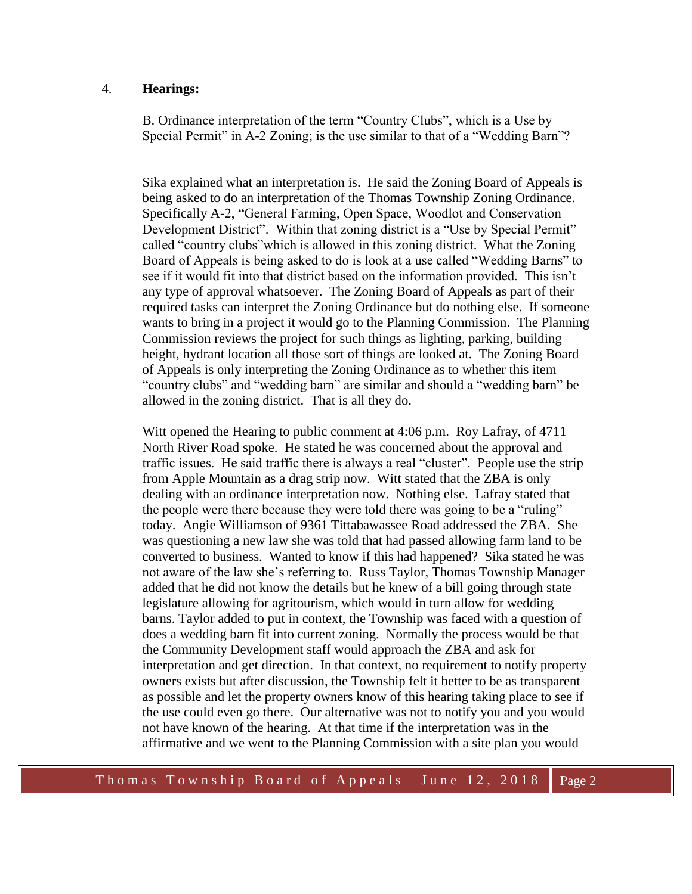### 4. **Hearings:**

B. Ordinance interpretation of the term "Country Clubs", which is a Use by Special Permit" in A-2 Zoning; is the use similar to that of a "Wedding Barn"?

 Sika explained what an interpretation is. He said the Zoning Board of Appeals is being asked to do an interpretation of the Thomas Township Zoning Ordinance. Specifically A-2, "General Farming, Open Space, Woodlot and Conservation Development District". Within that zoning district is a "Use by Special Permit" called "country clubs"which is allowed in this zoning district. What the Zoning Board of Appeals is being asked to do is look at a use called "Wedding Barns" to see if it would fit into that district based on the information provided. This isn't any type of approval whatsoever. The Zoning Board of Appeals as part of their required tasks can interpret the Zoning Ordinance but do nothing else. If someone wants to bring in a project it would go to the Planning Commission. The Planning Commission reviews the project for such things as lighting, parking, building height, hydrant location all those sort of things are looked at. The Zoning Board of Appeals is only interpreting the Zoning Ordinance as to whether this item "country clubs" and "wedding barn" are similar and should a "wedding barn" be allowed in the zoning district. That is all they do.

 Witt opened the Hearing to public comment at 4:06 p.m. Roy Lafray, of 4711 North River Road spoke. He stated he was concerned about the approval and traffic issues. He said traffic there is always a real "cluster". People use the strip from Apple Mountain as a drag strip now. Witt stated that the ZBA is only dealing with an ordinance interpretation now. Nothing else. Lafray stated that the people were there because they were told there was going to be a "ruling" today. Angie Williamson of 9361 Tittabawassee Road addressed the ZBA. She was questioning a new law she was told that had passed allowing farm land to be converted to business. Wanted to know if this had happened? Sika stated he was not aware of the law she's referring to. Russ Taylor, Thomas Township Manager added that he did not know the details but he knew of a bill going through state legislature allowing for agritourism, which would in turn allow for wedding barns. Taylor added to put in context, the Township was faced with a question of does a wedding barn fit into current zoning. Normally the process would be that the Community Development staff would approach the ZBA and ask for interpretation and get direction. In that context, no requirement to notify property owners exists but after discussion, the Township felt it better to be as transparent as possible and let the property owners know of this hearing taking place to see if the use could even go there. Our alternative was not to notify you and you would not have known of the hearing. At that time if the interpretation was in the affirmative and we went to the Planning Commission with a site plan you would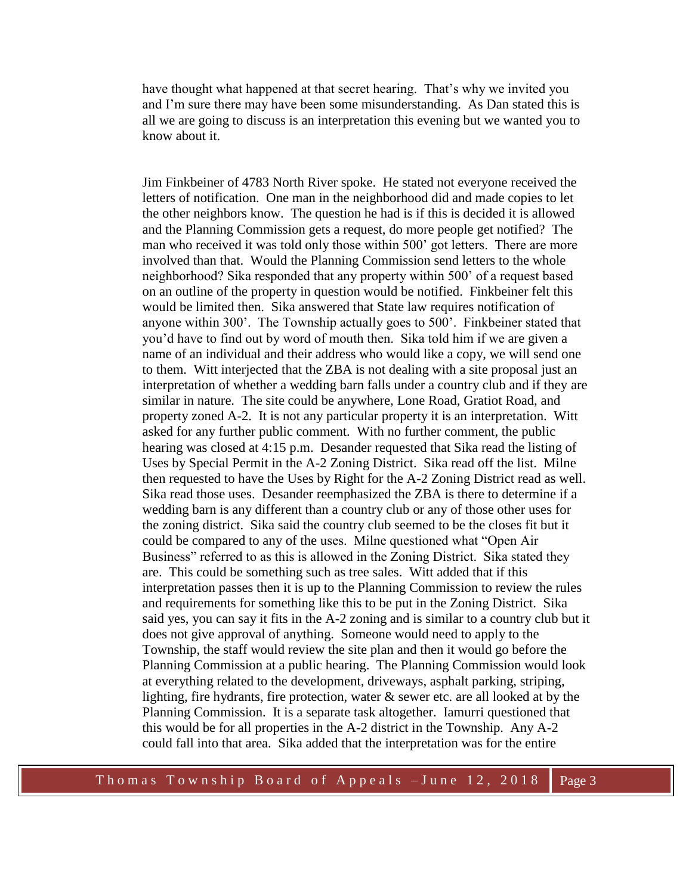have thought what happened at that secret hearing. That's why we invited you and I'm sure there may have been some misunderstanding. As Dan stated this is all we are going to discuss is an interpretation this evening but we wanted you to know about it.

 Jim Finkbeiner of 4783 North River spoke. He stated not everyone received the letters of notification. One man in the neighborhood did and made copies to let the other neighbors know. The question he had is if this is decided it is allowed and the Planning Commission gets a request, do more people get notified? The man who received it was told only those within 500' got letters. There are more involved than that. Would the Planning Commission send letters to the whole neighborhood? Sika responded that any property within 500' of a request based on an outline of the property in question would be notified. Finkbeiner felt this would be limited then. Sika answered that State law requires notification of anyone within 300'. The Township actually goes to 500'. Finkbeiner stated that you'd have to find out by word of mouth then. Sika told him if we are given a name of an individual and their address who would like a copy, we will send one to them. Witt interjected that the ZBA is not dealing with a site proposal just an interpretation of whether a wedding barn falls under a country club and if they are similar in nature. The site could be anywhere, Lone Road, Gratiot Road, and property zoned A-2. It is not any particular property it is an interpretation. Witt asked for any further public comment. With no further comment, the public hearing was closed at 4:15 p.m. Desander requested that Sika read the listing of Uses by Special Permit in the A-2 Zoning District. Sika read off the list. Milne then requested to have the Uses by Right for the A-2 Zoning District read as well. Sika read those uses. Desander reemphasized the ZBA is there to determine if a wedding barn is any different than a country club or any of those other uses for the zoning district. Sika said the country club seemed to be the closes fit but it could be compared to any of the uses. Milne questioned what "Open Air Business" referred to as this is allowed in the Zoning District. Sika stated they are. This could be something such as tree sales. Witt added that if this interpretation passes then it is up to the Planning Commission to review the rules and requirements for something like this to be put in the Zoning District. Sika said yes, you can say it fits in the A-2 zoning and is similar to a country club but it does not give approval of anything. Someone would need to apply to the Township, the staff would review the site plan and then it would go before the Planning Commission at a public hearing. The Planning Commission would look at everything related to the development, driveways, asphalt parking, striping, lighting, fire hydrants, fire protection, water & sewer etc. are all looked at by the Planning Commission. It is a separate task altogether. Iamurri questioned that this would be for all properties in the A-2 district in the Township. Any A-2 could fall into that area. Sika added that the interpretation was for the entire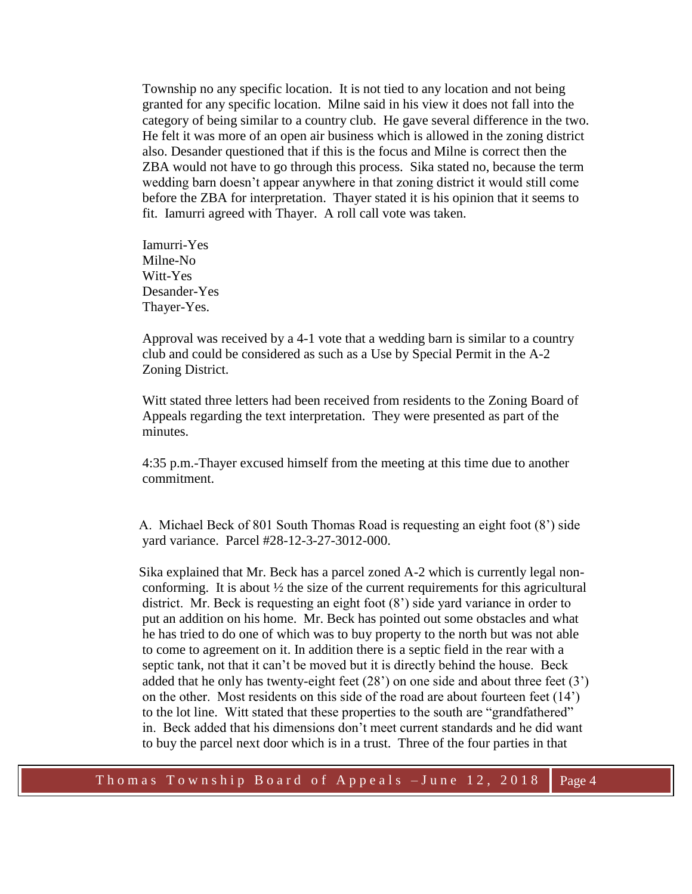Township no any specific location. It is not tied to any location and not being granted for any specific location. Milne said in his view it does not fall into the category of being similar to a country club. He gave several difference in the two. He felt it was more of an open air business which is allowed in the zoning district also. Desander questioned that if this is the focus and Milne is correct then the ZBA would not have to go through this process. Sika stated no, because the term wedding barn doesn't appear anywhere in that zoning district it would still come before the ZBA for interpretation. Thayer stated it is his opinion that it seems to fit. Iamurri agreed with Thayer. A roll call vote was taken.

 Iamurri-Yes Milne-No Witt-Yes Desander-Yes Thayer-Yes.

 Approval was received by a 4-1 vote that a wedding barn is similar to a country club and could be considered as such as a Use by Special Permit in the A-2 Zoning District.

 Witt stated three letters had been received from residents to the Zoning Board of Appeals regarding the text interpretation. They were presented as part of the minutes.

 4:35 p.m.-Thayer excused himself from the meeting at this time due to another commitment.

 A. Michael Beck of 801 South Thomas Road is requesting an eight foot (8') side yard variance. Parcel #28-12-3-27-3012-000.

 Sika explained that Mr. Beck has a parcel zoned A-2 which is currently legal nonconforming. It is about  $\frac{1}{2}$  the size of the current requirements for this agricultural district. Mr. Beck is requesting an eight foot (8') side yard variance in order to put an addition on his home. Mr. Beck has pointed out some obstacles and what he has tried to do one of which was to buy property to the north but was not able to come to agreement on it. In addition there is a septic field in the rear with a septic tank, not that it can't be moved but it is directly behind the house. Beck added that he only has twenty-eight feet  $(28)$  on one side and about three feet  $(3')$ on the other. Most residents on this side of the road are about fourteen feet (14') to the lot line. Witt stated that these properties to the south are "grandfathered" in. Beck added that his dimensions don't meet current standards and he did want to buy the parcel next door which is in a trust. Three of the four parties in that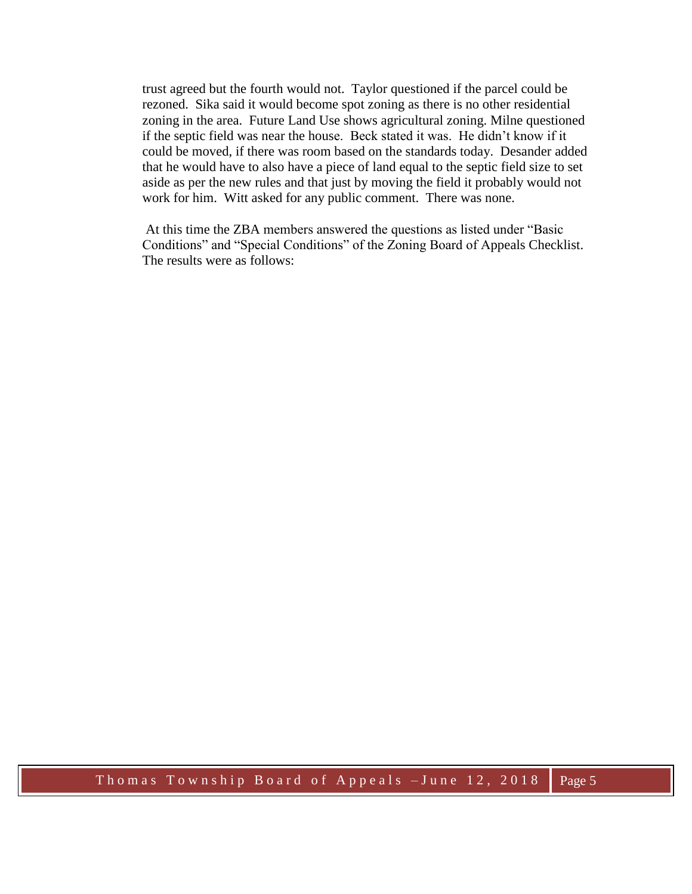trust agreed but the fourth would not. Taylor questioned if the parcel could be rezoned. Sika said it would become spot zoning as there is no other residential zoning in the area. Future Land Use shows agricultural zoning. Milne questioned if the septic field was near the house. Beck stated it was. He didn't know if it could be moved, if there was room based on the standards today. Desander added that he would have to also have a piece of land equal to the septic field size to set aside as per the new rules and that just by moving the field it probably would not work for him. Witt asked for any public comment. There was none.

 At this time the ZBA members answered the questions as listed under "Basic Conditions" and "Special Conditions" of the Zoning Board of Appeals Checklist. The results were as follows: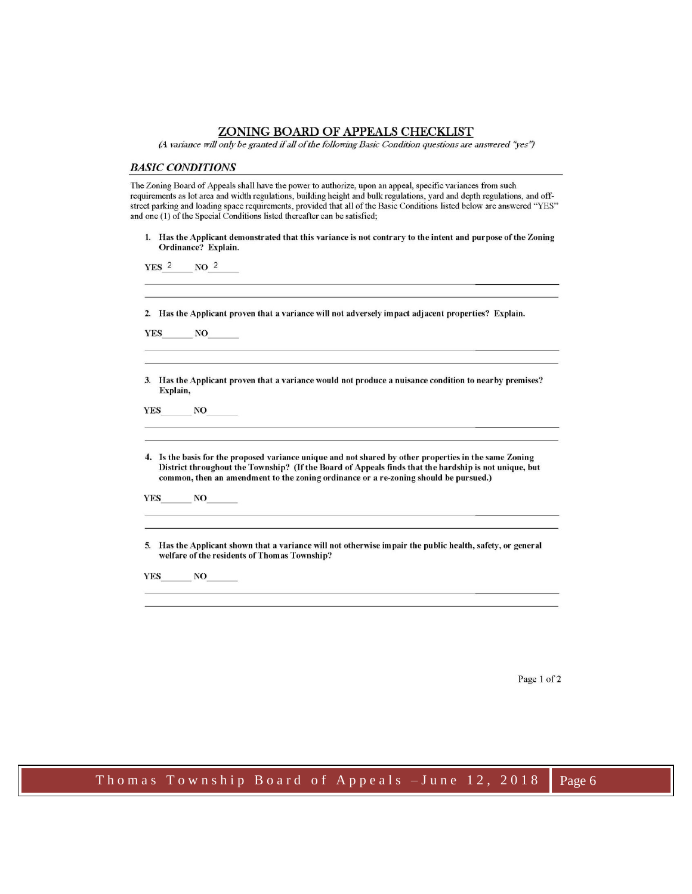#### ZONING BOARD OF APPEALS CHECKLIST

(A variance will only be granted if all of the following Basic Condition questions are answered "yes")

#### **BASIC CONDITIONS**

The Zoning Board of Appeals shall have the power to authorize, upon an appeal, specific variances from such requirements as lot area and width regulations, building height and bulk regulations, yard and depth regulations, and offstreet parking and loading space requirements, provided that all of the Basic Conditions listed below are answered "YES" and one (1) of the Special Conditions listed thereafter can be satisfied;

1. Has the Applicant demonstrated that this variance is not contrary to the intent and purpose of the Zoning Ordinance? Explain.

YES<sup>2</sup>  $NO<sup>2</sup>$ 

2. Has the Applicant proven that a variance will not adversely impact adjacent properties? Explain.

**YES**  $NO$ 

3. Has the Applicant proven that a variance would not produce a nuisance condition to nearby premises? Explain,

 $NQ$ **YES** 

4. Is the basis for the proposed variance unique and not shared by other properties in the same Zoning District throughout the Township? (If the Board of Appeals finds that the hardship is not unique, but common, then an amendment to the zoning ordinance or a re-zoning should be pursued.)

**YES** NO

5. Has the Applicant shown that a variance will not otherwise impair the public health, safety, or general welfare of the residents of Thomas Township?

YES NO

Page 1 of 2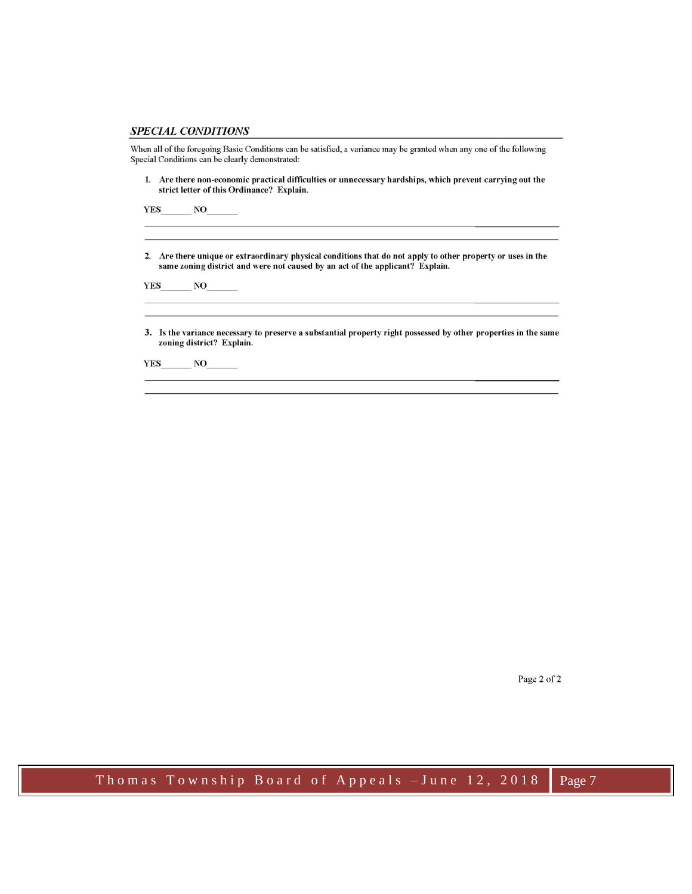#### **SPECIAL CONDITIONS**

When all of the foregoing Basic Conditions can be satisfied, a variance may be granted when any one of the following Special Conditions can be clearly demonstrated:

1. Are there non-economic practical difficulties or unnecessary hardships, which prevent carrying out the strict letter of this Ordinance? Explain.

**YES**  $NO$ 

2. Are there unique or extraordinary physical conditions that do not apply to other property or uses in the same zoning district and were not caused by an act of the applicant? Explain.

**YES**  $N$ O

3. Is the variance necessary to preserve a substantial property right possessed by other properties in the same zoning district? Explain.

the control of the control of the control of the control of the control of

**YES**  $NO$ 

Page 2 of 2

Thomas Township Board of Appeals - June 12, 2018 Page 7